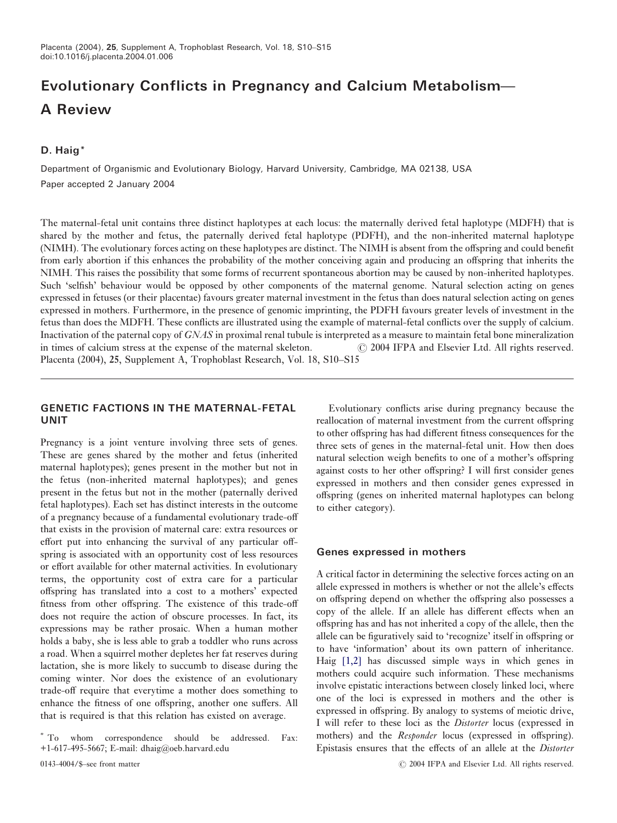# **Evolutionary Conflicts in Pregnancy and Calcium Metabolism— A Review**

# **D. Haig\***

Department of Organismic and Evolutionary Biology, Harvard University, Cambridge, MA 02138, USA Paper accepted 2 January 2004

The maternal-fetal unit contains three distinct haplotypes at each locus: the maternally derived fetal haplotype (MDFH) that is shared by the mother and fetus, the paternally derived fetal haplotype (PDFH), and the non-inherited maternal haplotype (NIMH). The evolutionary forces acting on these haplotypes are distinct. The NIMH is absent from the offspring and could benefit from early abortion if this enhances the probability of the mother conceiving again and producing an offspring that inherits the NIMH. This raises the possibility that some forms of recurrent spontaneous abortion may be caused by non-inherited haplotypes. Such 'selfish' behaviour would be opposed by other components of the maternal genome. Natural selection acting on genes expressed in fetuses (or their placentae) favours greater maternal investment in the fetus than does natural selection acting on genes expressed in mothers. Furthermore, in the presence of genomic imprinting, the PDFH favours greater levels of investment in the fetus than does the MDFH. These conflicts are illustrated using the example of maternal-fetal conflicts over the supply of calcium. Inactivation of the paternal copy of *GNAS* in proximal renal tubule is interpreted as a measure to maintain fetal bone mineralization in times of calcium stress at the expense of the maternal skeleton.  $\circ$  2004 IFPA and Elsevier Ltd. All rights reserved. Placenta (2004), **25**, Supplement A, Trophoblast Research, Vol. 18, S10–S15

# **GENETIC FACTIONS IN THE MATERNAL-FETAL UNIT**

Pregnancy is a joint venture involving three sets of genes. These are genes shared by the mother and fetus (inherited maternal haplotypes); genes present in the mother but not in the fetus (non-inherited maternal haplotypes); and genes present in the fetus but not in the mother (paternally derived fetal haplotypes). Each set has distinct interests in the outcome of a pregnancy because of a fundamental evolutionary trade-off that exists in the provision of maternal care: extra resources or effort put into enhancing the survival of any particular offspring is associated with an opportunity cost of less resources or effort available for other maternal activities. In evolutionary terms, the opportunity cost of extra care for a particular offspring has translated into a cost to a mothers' expected fitness from other offspring. The existence of this trade-off does not require the action of obscure processes. In fact, its expressions may be rather prosaic. When a human mother holds a baby, she is less able to grab a toddler who runs across a road. When a squirrel mother depletes her fat reserves during lactation, she is more likely to succumb to disease during the coming winter. Nor does the existence of an evolutionary trade-off require that everytime a mother does something to enhance the fitness of one offspring, another one suffers. All that is required is that this relation has existed on average.

Evolutionary conflicts arise during pregnancy because the reallocation of maternal investment from the current offspring to other offspring has had different fitness consequences for the three sets of genes in the maternal-fetal unit. How then does natural selection weigh benefits to one of a mother's offspring against costs to her other offspring? I will first consider genes expressed in mothers and then consider genes expressed in offspring (genes on inherited maternal haplotypes can belong to either category).

#### **Genes expressed in mothers**

A critical factor in determining the selective forces acting on an allele expressed in mothers is whether or not the allele's effects on offspring depend on whether the offspring also possesses a copy of the allele. If an allele has different effects when an offspring has and has not inherited a copy of the allele, then the allele can be figuratively said to 'recognize' itself in offspring or to have 'information' about its own pattern of inheritance. Haig [\[1,2\]](#page-4-0) has discussed simple ways in which genes in mothers could acquire such information. These mechanisms involve epistatic interactions between closely linked loci, where one of the loci is expressed in mothers and the other is expressed in offspring. By analogy to systems of meiotic drive, I will refer to these loci as the *Distorter* locus (expressed in mothers) and the *Responder* locus (expressed in offspring). Epistasis ensures that the effects of an allele at the *Distorter*

<sup>\*</sup> To whom correspondence should be addressed. Fax: +1-617-495-5667; E-mail: dhaig@oeb.harvard.edu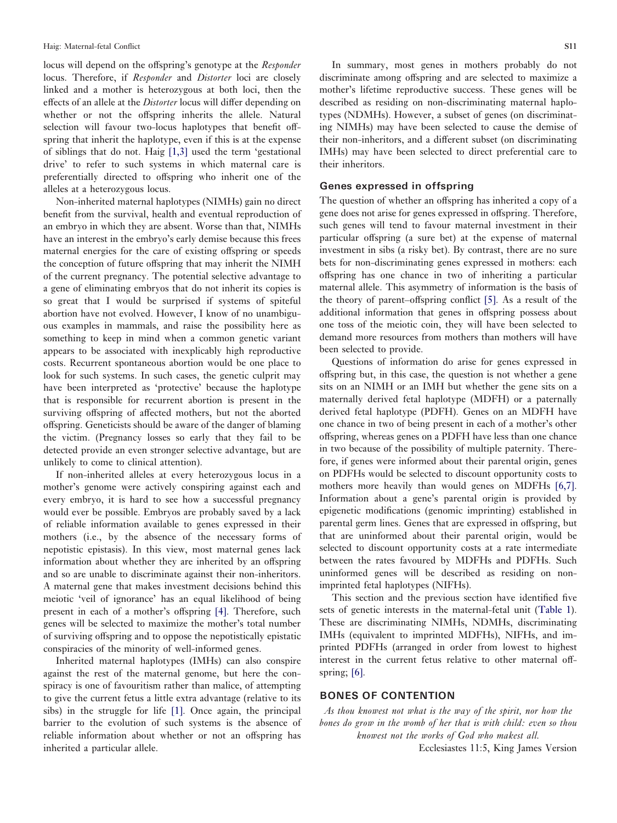locus will depend on the offspring's genotype at the *Responder* locus. Therefore, if *Responder* and *Distorter* loci are closely linked and a mother is heterozygous at both loci, then the effects of an allele at the *Distorter* locus will differ depending on whether or not the offspring inherits the allele. Natural selection will favour two-locus haplotypes that benefit offspring that inherit the haplotype, even if this is at the expense of siblings that do not. Haig [\[1,3\]](#page-4-0) used the term 'gestational drive' to refer to such systems in which maternal care is preferentially directed to offspring who inherit one of the alleles at a heterozygous locus.

Non-inherited maternal haplotypes (NIMHs) gain no direct benefit from the survival, health and eventual reproduction of an embryo in which they are absent. Worse than that, NIMHs have an interest in the embryo's early demise because this frees maternal energies for the care of existing offspring or speeds the conception of future offspring that may inherit the NIMH of the current pregnancy. The potential selective advantage to a gene of eliminating embryos that do not inherit its copies is so great that I would be surprised if systems of spiteful abortion have not evolved. However, I know of no unambiguous examples in mammals, and raise the possibility here as something to keep in mind when a common genetic variant appears to be associated with inexplicably high reproductive costs. Recurrent spontaneous abortion would be one place to look for such systems. In such cases, the genetic culprit may have been interpreted as 'protective' because the haplotype that is responsible for recurrent abortion is present in the surviving offspring of affected mothers, but not the aborted offspring. Geneticists should be aware of the danger of blaming the victim. (Pregnancy losses so early that they fail to be detected provide an even stronger selective advantage, but are unlikely to come to clinical attention).

If non-inherited alleles at every heterozygous locus in a mother's genome were actively conspiring against each and every embryo, it is hard to see how a successful pregnancy would ever be possible. Embryos are probably saved by a lack of reliable information available to genes expressed in their mothers (i.e., by the absence of the necessary forms of nepotistic epistasis). In this view, most maternal genes lack information about whether they are inherited by an offspring and so are unable to discriminate against their non-inheritors. A maternal gene that makes investment decisions behind this meiotic 'veil of ignorance' has an equal likelihood of being present in each of a mother's offspring [\[4\].](#page-4-0) Therefore, such genes will be selected to maximize the mother's total number of surviving offspring and to oppose the nepotistically epistatic conspiracies of the minority of well-informed genes.

Inherited maternal haplotypes (IMHs) can also conspire against the rest of the maternal genome, but here the conspiracy is one of favouritism rather than malice, of attempting to give the current fetus a little extra advantage (relative to its sibs) in the struggle for life [\[1\].](#page-4-0) Once again, the principal barrier to the evolution of such systems is the absence of reliable information about whether or not an offspring has inherited a particular allele.

In summary, most genes in mothers probably do not discriminate among offspring and are selected to maximize a mother's lifetime reproductive success. These genes will be described as residing on non-discriminating maternal haplotypes (NDMHs). However, a subset of genes (on discriminating NIMHs) may have been selected to cause the demise of their non-inheritors, and a different subset (on discriminating IMHs) may have been selected to direct preferential care to their inheritors.

## **Genes expressed in offspring**

The question of whether an offspring has inherited a copy of a gene does not arise for genes expressed in offspring. Therefore, such genes will tend to favour maternal investment in their particular offspring (a sure bet) at the expense of maternal investment in sibs (a risky bet). By contrast, there are no sure bets for non-discriminating genes expressed in mothers: each offspring has one chance in two of inheriting a particular maternal allele. This asymmetry of information is the basis of the theory of parent–offspring conflict [\[5\].](#page-4-0) As a result of the additional information that genes in offspring possess about one toss of the meiotic coin, they will have been selected to demand more resources from mothers than mothers will have been selected to provide.

Questions of information do arise for genes expressed in offspring but, in this case, the question is not whether a gene sits on an NIMH or an IMH but whether the gene sits on a maternally derived fetal haplotype (MDFH) or a paternally derived fetal haplotype (PDFH). Genes on an MDFH have one chance in two of being present in each of a mother's other offspring, whereas genes on a PDFH have less than one chance in two because of the possibility of multiple paternity. Therefore, if genes were informed about their parental origin, genes on PDFHs would be selected to discount opportunity costs to mothers more heavily than would genes on MDFHs [\[6,7\].](#page-4-0) Information about a gene's parental origin is provided by epigenetic modifications (genomic imprinting) established in parental germ lines. Genes that are expressed in offspring, but that are uninformed about their parental origin, would be selected to discount opportunity costs at a rate intermediate between the rates favoured by MDFHs and PDFHs. Such uninformed genes will be described as residing on nonimprinted fetal haplotypes (NIFHs).

This section and the previous section have identified five sets of genetic interests in the maternal-fetal unit [\(Table 1\)](#page-2-0). These are discriminating NIMHs, NDMHs, discriminating IMHs (equivalent to imprinted MDFHs), NIFHs, and imprinted PDFHs (arranged in order from lowest to highest interest in the current fetus relative to other maternal off-spring; [\[6\].](#page-4-0)

### **BONES OF CONTENTION**

*As thou knowest not what is the way of the spirit, nor how the bones do grow in the womb of her that is with child: even so thou knowest not the works of God who makest all.*

Ecclesiastes 11:5, King James Version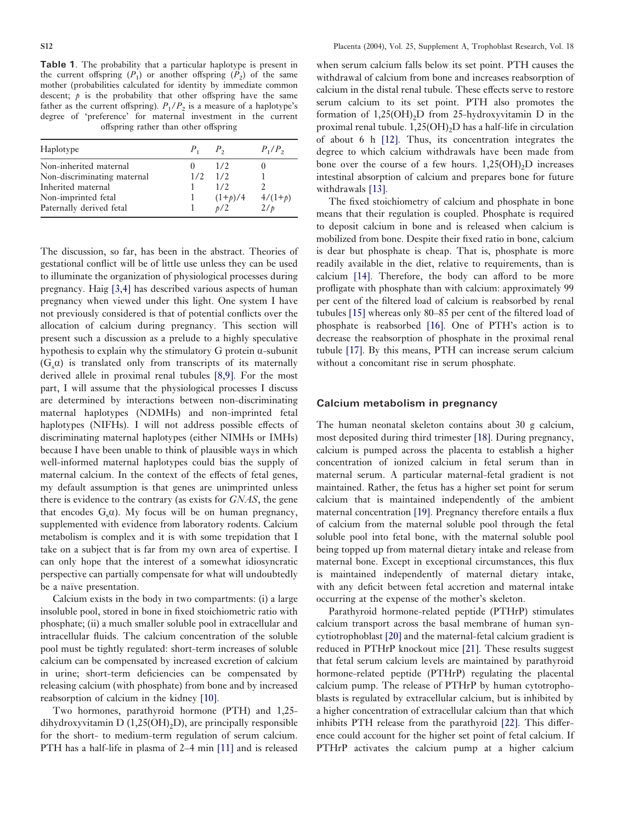<span id="page-2-0"></span>**Table 1**. The probability that a particular haplotype is present in the current offspring  $(P_1)$  or another offspring  $(P_2)$  of the same mother (probabilities calculated for identity by immediate common descent;  $\phi$  is the probability that other offspring have the same father as the current offspring).  $P_1/P_2$  is a measure of a haplotype's degree of 'preference' for maternal investment in the current offspring rather than other offspring

| Haplotype                   | $P_1 \quad P_2$ |                   | $P_1/P_2$ |
|-----------------------------|-----------------|-------------------|-----------|
| Non-inherited maternal      | $\cup$          | 1/2               |           |
| Non-discriminating maternal | 1/2             | 1/2               |           |
| Inherited maternal          |                 | 1/2               |           |
| Non-imprinted fetal         |                 | $(1+p)/4$         | $4/(1+p)$ |
| Paternally derived fetal    |                 | $\frac{\hbar}{2}$ | 2/p       |

The discussion, so far, has been in the abstract. Theories of gestational conflict will be of little use unless they can be used to illuminate the organization of physiological processes during pregnancy. Haig [\[3,4\]](#page-4-0) has described various aspects of human pregnancy when viewed under this light. One system I have not previously considered is that of potential conflicts over the allocation of calcium during pregnancy. This section will present such a discussion as a prelude to a highly speculative hypothesis to explain why the stimulatory G protein  $\alpha$ -subunit  $(G<sub>c</sub>\alpha)$  is translated only from transcripts of its maternally derived allele in proximal renal tubules [\[8,9\].](#page-4-0) For the most part, I will assume that the physiological processes I discuss are determined by interactions between non-discriminating maternal haplotypes (NDMHs) and non-imprinted fetal haplotypes (NIFHs). I will not address possible effects of discriminating maternal haplotypes (either NIMHs or IMHs) because I have been unable to think of plausible ways in which well-informed maternal haplotypes could bias the supply of maternal calcium. In the context of the effects of fetal genes, my default assumption is that genes are unimprinted unless there is evidence to the contrary (as exists for *GNAS*, the gene that encodes  $G_{\alpha}$ ). My focus will be on human pregnancy, supplemented with evidence from laboratory rodents. Calcium metabolism is complex and it is with some trepidation that I take on a subject that is far from my own area of expertise. I can only hope that the interest of a somewhat idiosyncratic perspective can partially compensate for what will undoubtedly be a naïve presentation.

Calcium exists in the body in two compartments: (i) a large insoluble pool, stored in bone in fixed stoichiometric ratio with phosphate; (ii) a much smaller soluble pool in extracellular and intracellular fluids. The calcium concentration of the soluble pool must be tightly regulated: short-term increases of soluble calcium can be compensated by increased excretion of calcium in urine; short-term deficiencies can be compensated by releasing calcium (with phosphate) from bone and by increased reabsorption of calcium in the kidney [\[10\].](#page-5-0)

Two hormones, parathyroid hormone (PTH) and 1,25 dihydroxyvitamin D  $(1,25(OH),D)$ , are principally responsible for the short- to medium-term regulation of serum calcium. PTH has a half-life in plasma of 2–4 min [\[11\]](#page-5-0) and is released when serum calcium falls below its set point. PTH causes the withdrawal of calcium from bone and increases reabsorption of calcium in the distal renal tubule. These effects serve to restore serum calcium to its set point. PTH also promotes the formation of  $1,25(OH)_{2}D$  from 25-hydroxyvitamin D in the proximal renal tubule.  $1,25(OH)_2D$  has a half-life in circulation of about 6 h [\[12\].](#page-5-0) Thus, its concentration integrates the degree to which calcium withdrawals have been made from bone over the course of a few hours.  $1,25(OH)_{2}D$  increases intestinal absorption of calcium and prepares bone for future withdrawals [\[13\].](#page-5-0)

The fixed stoichiometry of calcium and phosphate in bone means that their regulation is coupled. Phosphate is required to deposit calcium in bone and is released when calcium is mobilized from bone. Despite their fixed ratio in bone, calcium is dear but phosphate is cheap. That is, phosphate is more readily available in the diet, relative to requirements, than is calcium [\[14\].](#page-5-0) Therefore, the body can afford to be more profligate with phosphate than with calcium: approximately 99 per cent of the filtered load of calcium is reabsorbed by renal tubules [\[15\]](#page-5-0) whereas only 80–85 per cent of the filtered load of phosphate is reabsorbed [\[16\].](#page-5-0) One of PTH's action is to decrease the reabsorption of phosphate in the proximal renal tubule [\[17\].](#page-5-0) By this means, PTH can increase serum calcium without a concomitant rise in serum phosphate.

#### **Calcium metabolism in pregnancy**

The human neonatal skeleton contains about 30 g calcium, most deposited during third trimester [\[18\].](#page-5-0) During pregnancy, calcium is pumped across the placenta to establish a higher concentration of ionized calcium in fetal serum than in maternal serum. A particular maternal-fetal gradient is not maintained. Rather, the fetus has a higher set point for serum calcium that is maintained independently of the ambient maternal concentration [\[19\].](#page-5-0) Pregnancy therefore entails a flux of calcium from the maternal soluble pool through the fetal soluble pool into fetal bone, with the maternal soluble pool being topped up from maternal dietary intake and release from maternal bone. Except in exceptional circumstances, this flux is maintained independently of maternal dietary intake, with any deficit between fetal accretion and maternal intake occurring at the expense of the mother's skeleton.

Parathyroid hormone-related peptide (PTHrP) stimulates calcium transport across the basal membrane of human syncytiotrophoblast [\[20\]](#page-5-0) and the maternal-fetal calcium gradient is reduced in PTHrP knockout mice [\[21\].](#page-5-0) These results suggest that fetal serum calcium levels are maintained by parathyroid hormone-related peptide (PTHrP) regulating the placental calcium pump. The release of PTHrP by human cytotrophoblasts is regulated by extracellular calcium, but is inhibited by a higher concentration of extracellular calcium than that which inhibits PTH release from the parathyroid [\[22\].](#page-5-0) This difference could account for the higher set point of fetal calcium. If PTHrP activates the calcium pump at a higher calcium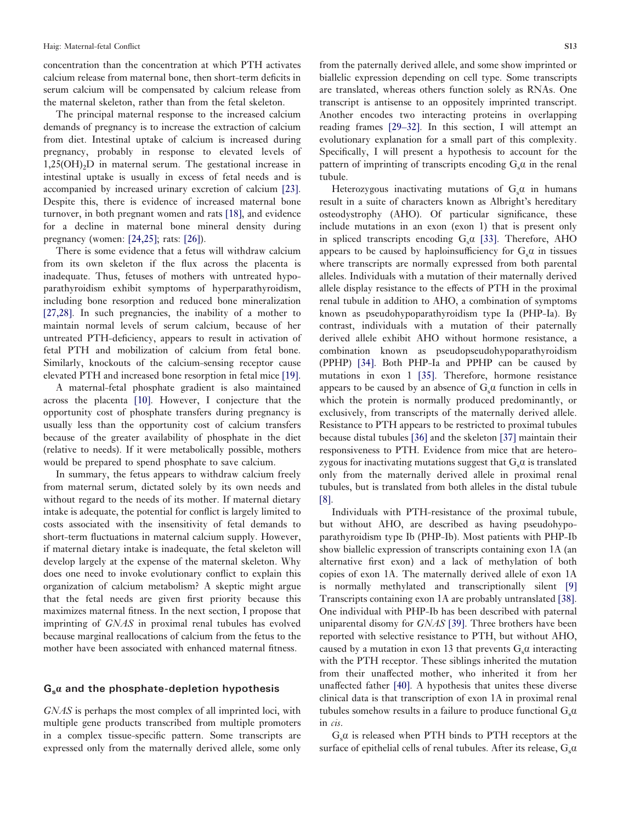concentration than the concentration at which PTH activates calcium release from maternal bone, then short-term deficits in serum calcium will be compensated by calcium release from the maternal skeleton, rather than from the fetal skeleton.

The principal maternal response to the increased calcium demands of pregnancy is to increase the extraction of calcium from diet. Intestinal uptake of calcium is increased during pregnancy, probably in response to elevated levels of  $1,25(OH)_{2}D$  in maternal serum. The gestational increase in intestinal uptake is usually in excess of fetal needs and is accompanied by increased urinary excretion of calcium [\[23\].](#page-5-0) Despite this, there is evidence of increased maternal bone turnover, in both pregnant women and rats [\[18\],](#page-5-0) and evidence for a decline in maternal bone mineral density during pregnancy (women: [\[24,25\];](#page-5-0) rats: [\[26\]\)](#page-5-0).

There is some evidence that a fetus will withdraw calcium from its own skeleton if the flux across the placenta is inadequate. Thus, fetuses of mothers with untreated hypoparathyroidism exhibit symptoms of hyperparathyroidism, including bone resorption and reduced bone mineralization [\[27,28\].](#page-5-0) In such pregnancies, the inability of a mother to maintain normal levels of serum calcium, because of her untreated PTH-deficiency, appears to result in activation of fetal PTH and mobilization of calcium from fetal bone. Similarly, knockouts of the calcium-sensing receptor cause elevated PTH and increased bone resorption in fetal mice [\[19\].](#page-5-0)

A maternal-fetal phosphate gradient is also maintained across the placenta [\[10\].](#page-5-0) However, I conjecture that the opportunity cost of phosphate transfers during pregnancy is usually less than the opportunity cost of calcium transfers because of the greater availability of phosphate in the diet (relative to needs). If it were metabolically possible, mothers would be prepared to spend phosphate to save calcium.

In summary, the fetus appears to withdraw calcium freely from maternal serum, dictated solely by its own needs and without regard to the needs of its mother. If maternal dietary intake is adequate, the potential for conflict is largely limited to costs associated with the insensitivity of fetal demands to short-term fluctuations in maternal calcium supply. However, if maternal dietary intake is inadequate, the fetal skeleton will develop largely at the expense of the maternal skeleton. Why does one need to invoke evolutionary conflict to explain this organization of calcium metabolism? A skeptic might argue that the fetal needs are given first priority because this maximizes maternal fitness. In the next section, I propose that imprinting of *GNAS* in proximal renal tubules has evolved because marginal reallocations of calcium from the fetus to the mother have been associated with enhanced maternal fitness.

## **Gs and the phosphate-depletion hypothesis**

*GNAS* is perhaps the most complex of all imprinted loci, with multiple gene products transcribed from multiple promoters in a complex tissue-specific pattern. Some transcripts are expressed only from the maternally derived allele, some only

from the paternally derived allele, and some show imprinted or biallelic expression depending on cell type. Some transcripts are translated, whereas others function solely as RNAs. One transcript is antisense to an oppositely imprinted transcript. Another encodes two interacting proteins in overlapping reading frames [\[29–32\].](#page-5-0) In this section, I will attempt an evolutionary explanation for a small part of this complexity. Specifically, I will present a hypothesis to account for the pattern of imprinting of transcripts encoding  $G_{\alpha}$  in the renal tubule.

Heterozygous inactivating mutations of  $G_{\alpha}$  in humans result in a suite of characters known as Albright's hereditary osteodystrophy (AHO). Of particular significance, these include mutations in an exon (exon 1) that is present only in spliced transcripts encoding  $G_s \alpha$  [\[33\].](#page-5-0) Therefore, AHO appears to be caused by haploinsufficiency for  $G_s \alpha$  in tissues where transcripts are normally expressed from both parental alleles. Individuals with a mutation of their maternally derived allele display resistance to the effects of PTH in the proximal renal tubule in addition to AHO, a combination of symptoms known as pseudohypoparathyroidism type Ia (PHP-Ia). By contrast, individuals with a mutation of their paternally derived allele exhibit AHO without hormone resistance, a combination known as pseudopseudohypoparathyroidism (PPHP) [\[34\].](#page-5-0) Both PHP-Ia and PPHP can be caused by mutations in exon 1 [\[35\].](#page-5-0) Therefore, hormone resistance appears to be caused by an absence of  $G_{\alpha} \alpha$  function in cells in which the protein is normally produced predominantly, or exclusively, from transcripts of the maternally derived allele. Resistance to PTH appears to be restricted to proximal tubules because distal tubules [\[36\]](#page-5-0) and the skeleton [\[37\]](#page-5-0) maintain their responsiveness to PTH. Evidence from mice that are heterozygous for inactivating mutations suggest that  $G_{\alpha} \alpha$  is translated only from the maternally derived allele in proximal renal tubules, but is translated from both alleles in the distal tubule [\[8\].](#page-4-0)

Individuals with PTH-resistance of the proximal tubule, but without AHO, are described as having pseudohypoparathyroidism type Ib (PHP-Ib). Most patients with PHP-Ib show biallelic expression of transcripts containing exon 1A (an alternative first exon) and a lack of methylation of both copies of exon 1A. The maternally derived allele of exon 1A is normally methylated and transcriptionally silent [\[9\]](#page-5-0) Transcripts containing exon 1A are probably untranslated [\[38\].](#page-5-0) One individual with PHP-Ib has been described with paternal uniparental disomy for *GNAS* [\[39\].](#page-5-0) Three brothers have been reported with selective resistance to PTH, but without AHO, caused by a mutation in exon 13 that prevents  $G_{\rm s}\alpha$  interacting with the PTH receptor. These siblings inherited the mutation from their unaffected mother, who inherited it from her unaffected father [\[40\].](#page-5-0) A hypothesis that unites these diverse clinical data is that transcription of exon 1A in proximal renal tubules somehow results in a failure to produce functional  $G_s \alpha$ in *cis*.

 $G_s \alpha$  is released when PTH binds to PTH receptors at the surface of epithelial cells of renal tubules. After its release,  $G_{\alpha} \alpha$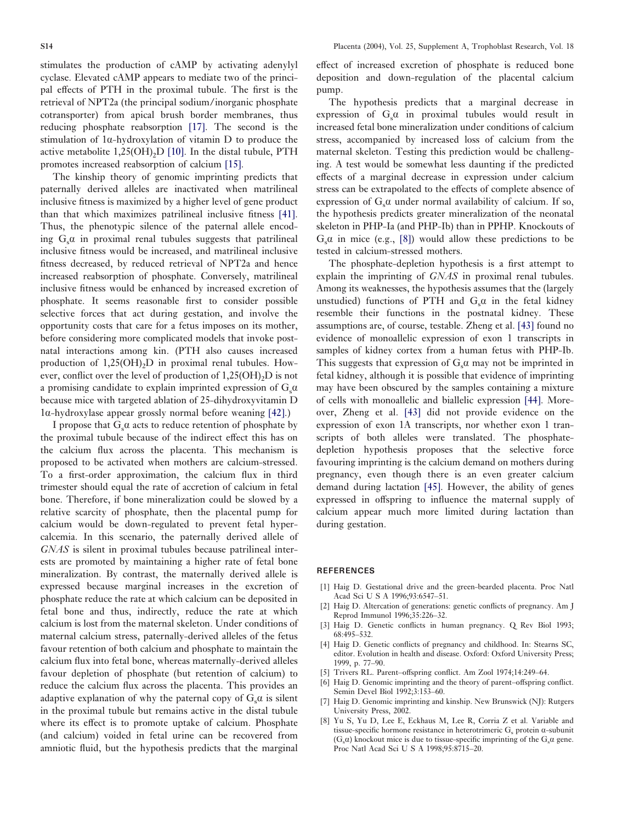<span id="page-4-0"></span>stimulates the production of cAMP by activating adenylyl cyclase. Elevated cAMP appears to mediate two of the principal effects of PTH in the proximal tubule. The first is the retrieval of NPT2a (the principal sodium/inorganic phosphate cotransporter) from apical brush border membranes, thus reducing phosphate reabsorption [\[17\].](#page-5-0) The second is the stimulation of  $1\alpha$ -hydroxylation of vitamin D to produce the active metabolite  $1,25(OH)_{2}D$  [\[10\].](#page-5-0) In the distal tubule, PTH promotes increased reabsorption of calcium [\[15\].](#page-5-0)

The kinship theory of genomic imprinting predicts that paternally derived alleles are inactivated when matrilineal inclusive fitness is maximized by a higher level of gene product than that which maximizes patrilineal inclusive fitness [\[41\].](#page-5-0) Thus, the phenotypic silence of the paternal allele encoding  $G_s \alpha$  in proximal renal tubules suggests that patrilineal inclusive fitness would be increased, and matrilineal inclusive fitness decreased, by reduced retrieval of NPT2a and hence increased reabsorption of phosphate. Conversely, matrilineal inclusive fitness would be enhanced by increased excretion of phosphate. It seems reasonable first to consider possible selective forces that act during gestation, and involve the opportunity costs that care for a fetus imposes on its mother, before considering more complicated models that invoke postnatal interactions among kin. (PTH also causes increased production of  $1,25(OH)_{2}D$  in proximal renal tubules. However, conflict over the level of production of  $1.25(OH)_{2}D$  is not a promising candidate to explain imprinted expression of  $G_{\alpha} \alpha$ because mice with targeted ablation of 25-dihydroxyvitamin D  $1\alpha$ -hydroxylase appear grossly normal before weaning [\[42\].](#page-5-0))

I propose that  $G_{\alpha} \alpha$  acts to reduce retention of phosphate by the proximal tubule because of the indirect effect this has on the calcium flux across the placenta. This mechanism is proposed to be activated when mothers are calcium-stressed. To a first-order approximation, the calcium flux in third trimester should equal the rate of accretion of calcium in fetal bone. Therefore, if bone mineralization could be slowed by a relative scarcity of phosphate, then the placental pump for calcium would be down-regulated to prevent fetal hypercalcemia. In this scenario, the paternally derived allele of *GNAS* is silent in proximal tubules because patrilineal interests are promoted by maintaining a higher rate of fetal bone mineralization. By contrast, the maternally derived allele is expressed because marginal increases in the excretion of phosphate reduce the rate at which calcium can be deposited in fetal bone and thus, indirectly, reduce the rate at which calcium is lost from the maternal skeleton. Under conditions of maternal calcium stress, paternally-derived alleles of the fetus favour retention of both calcium and phosphate to maintain the calcium flux into fetal bone, whereas maternally-derived alleles favour depletion of phosphate (but retention of calcium) to reduce the calcium flux across the placenta. This provides an adaptive explanation of why the paternal copy of  $G_s \alpha$  is silent in the proximal tubule but remains active in the distal tubule where its effect is to promote uptake of calcium. Phosphate (and calcium) voided in fetal urine can be recovered from amniotic fluid, but the hypothesis predicts that the marginal

effect of increased excretion of phosphate is reduced bone deposition and down-regulation of the placental calcium pump.

The hypothesis predicts that a marginal decrease in expression of  $G_{\rm c}\alpha$  in proximal tubules would result in increased fetal bone mineralization under conditions of calcium stress, accompanied by increased loss of calcium from the maternal skeleton. Testing this prediction would be challenging. A test would be somewhat less daunting if the predicted effects of a marginal decrease in expression under calcium stress can be extrapolated to the effects of complete absence of expression of  $G_{\alpha}$  under normal availability of calcium. If so, the hypothesis predicts greater mineralization of the neonatal skeleton in PHP-Ia (and PHP-Ib) than in PPHP. Knockouts of  $G_s \alpha$  in mice (e.g., [8]) would allow these predictions to be tested in calcium-stressed mothers.

The phosphate-depletion hypothesis is a first attempt to explain the imprinting of *GNAS* in proximal renal tubules. Among its weaknesses, the hypothesis assumes that the (largely unstudied) functions of PTH and  $G_{\alpha}$  in the fetal kidney resemble their functions in the postnatal kidney. These assumptions are, of course, testable. Zheng et al. [\[43\]](#page-5-0) found no evidence of monoallelic expression of exon 1 transcripts in samples of kidney cortex from a human fetus with PHP-Ib. This suggests that expression of  $G_{\alpha} \alpha$  may not be imprinted in fetal kidney, although it is possible that evidence of imprinting may have been obscured by the samples containing a mixture of cells with monoallelic and biallelic expression [\[44\].](#page-5-0) Moreover, Zheng et al. [\[43\]](#page-5-0) did not provide evidence on the expression of exon 1A transcripts, nor whether exon 1 transcripts of both alleles were translated. The phosphatedepletion hypothesis proposes that the selective force favouring imprinting is the calcium demand on mothers during pregnancy, even though there is an even greater calcium demand during lactation [\[45\].](#page-5-0) However, the ability of genes expressed in offspring to influence the maternal supply of calcium appear much more limited during lactation than during gestation.

#### **REFERENCES**

- [1] Haig D. Gestational drive and the green-bearded placenta. Proc Natl Acad Sci U S A 1996;93:6547–51.
- [2] Haig D. Altercation of generations: genetic conflicts of pregnancy. Am J Reprod Immunol 1996;35:226–32.
- [3] Haig D. Genetic conflicts in human pregnancy. Q Rev Biol 1993; 68:495–532.
- [4] Haig D. Genetic conflicts of pregnancy and childhood. In: Stearns SC, editor. Evolution in health and disease. Oxford: Oxford University Press; 1999, p. 77–90.
- [5] Trivers RL. Parent–offspring conflict. Am Zool 1974;14:249–64.
- [6] Haig D. Genomic imprinting and the theory of parent–offspring conflict. Semin Devel Biol 1992;3:153–60.
- [7] Haig D. Genomic imprinting and kinship. New Brunswick (NJ): Rutgers University Press, 2002.
- [8] Yu S, Yu D, Lee E, Eckhaus M, Lee R, Corria Z et al. Variable and tissue-specific hormone resistance in heterotrimeric  $G_s$  protein  $\alpha$ -subunit  $(G<sub>s</sub> \alpha)$  knockout mice is due to tissue-specific imprinting of the  $G<sub>s</sub> \alpha$  gene. Proc Natl Acad Sci U S A 1998;95:8715–20.